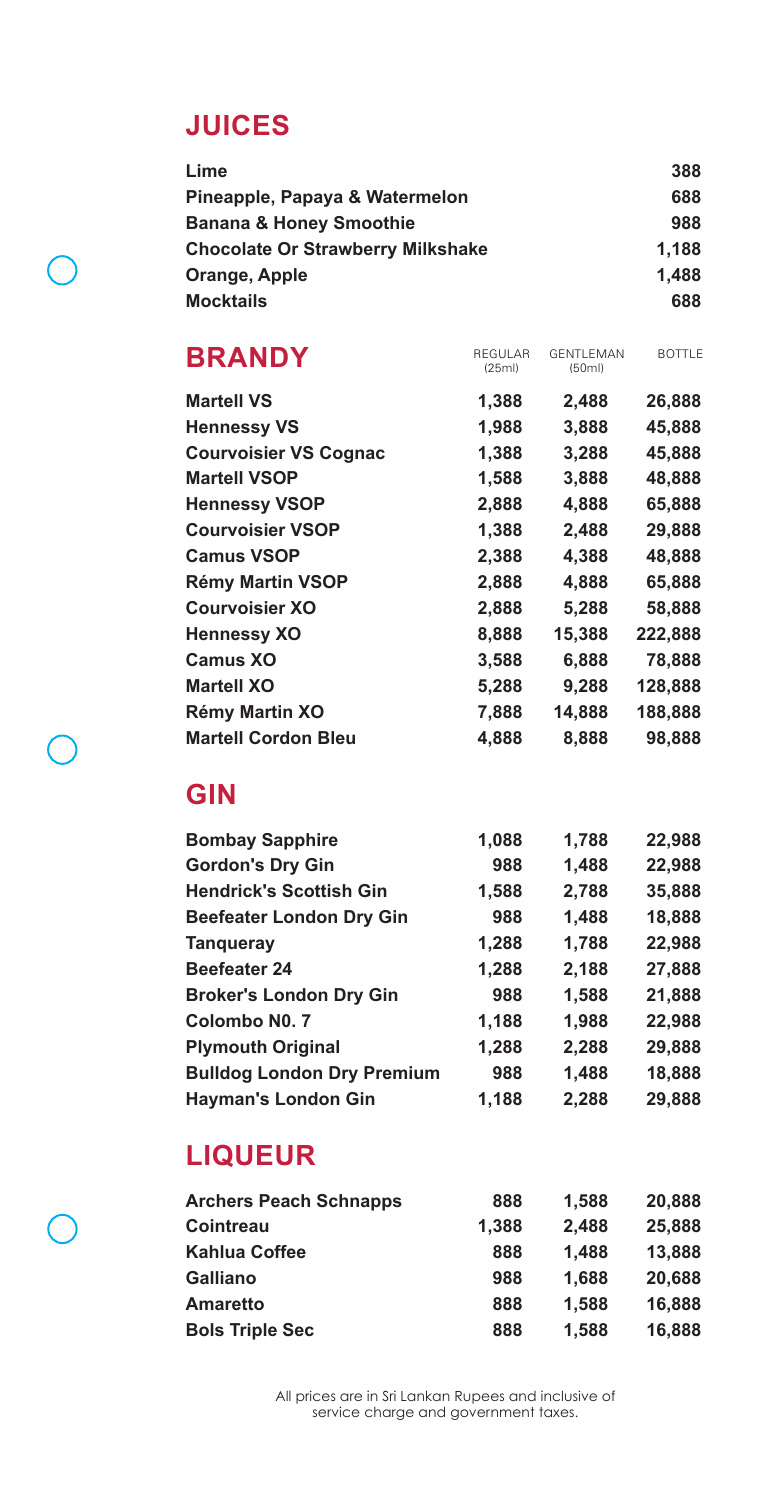### **JUICES**

| Lime                                     | 388   |
|------------------------------------------|-------|
| Pineapple, Papaya & Watermelon           | 688   |
| <b>Banana &amp; Honey Smoothie</b>       | 988   |
| <b>Chocolate Or Strawberry Milkshake</b> | 1.188 |
| Orange, Apple                            | 1.488 |
| <b>Mocktails</b>                         | 688   |

| <b>BRANDY</b>                | <b>REGULAR</b><br>(25ml) | <b>GENTI FMAN</b><br>(50ml) | <b>BOTTLE</b> |
|------------------------------|--------------------------|-----------------------------|---------------|
| <b>Martell VS</b>            | 1,388                    | 2,488                       | 26,888        |
| <b>Hennessy VS</b>           | 1,988                    | 3,888                       | 45,888        |
| <b>Courvoisier VS Cognac</b> | 1,388                    | 3,288                       | 45,888        |
| <b>Martell VSOP</b>          | 1,588                    | 3,888                       | 48,888        |
| <b>Hennessy VSOP</b>         | 2,888                    | 4,888                       | 65,888        |
| <b>Courvoisier VSOP</b>      | 1,388                    | 2,488                       | 29,888        |
| <b>Camus VSOP</b>            | 2,388                    | 4,388                       | 48,888        |
| <b>Rémy Martin VSOP</b>      | 2,888                    | 4,888                       | 65,888        |
| <b>Courvoisier XO</b>        | 2,888                    | 5,288                       | 58,888        |
| <b>Hennessy XO</b>           | 8,888                    | 15,388                      | 222,888       |
| <b>Camus XO</b>              | 3,588                    | 6,888                       | 78,888        |
| <b>Martell XO</b>            | 5,288                    | 9,288                       | 128,888       |
| <b>Rémy Martin XO</b>        | 7,888                    | 14,888                      | 188,888       |
| <b>Martell Cordon Bleu</b>   | 4.888                    | 8,888                       | 98.888        |
|                              |                          |                             |               |

### **GIN**

 $\sqrt{2}$ 

| <b>Bombay Sapphire</b>            | 1,088 | 1,788 | 22,988 |
|-----------------------------------|-------|-------|--------|
| <b>Gordon's Dry Gin</b>           | 988   | 1,488 | 22,988 |
| <b>Hendrick's Scottish Gin</b>    | 1,588 | 2,788 | 35,888 |
| <b>Beefeater London Dry Gin</b>   | 988   | 1,488 | 18,888 |
| <b>Tangueray</b>                  | 1,288 | 1,788 | 22,988 |
| <b>Beefeater 24</b>               | 1,288 | 2,188 | 27,888 |
| <b>Broker's London Dry Gin</b>    | 988   | 1,588 | 21,888 |
| Colombo No. 7                     | 1,188 | 1,988 | 22,988 |
| <b>Plymouth Original</b>          | 1,288 | 2,288 | 29,888 |
| <b>Bulldog London Dry Premium</b> | 988   | 1,488 | 18,888 |
| <b>Hayman's London Gin</b>        | 1.188 | 2,288 | 29.888 |

## **LIQUEUR**

| <b>Archers Peach Schnapps</b> | 888   | 1.588 | 20,888 |
|-------------------------------|-------|-------|--------|
| <b>Cointreau</b>              | 1,388 | 2,488 | 25,888 |
| Kahlua Coffee                 | 888   | 1.488 | 13,888 |
| <b>Galliano</b>               | 988   | 1.688 | 20,688 |
| <b>Amaretto</b>               | 888   | 1.588 | 16,888 |
| <b>Bols Triple Sec</b>        | 888   | 1.588 | 16,888 |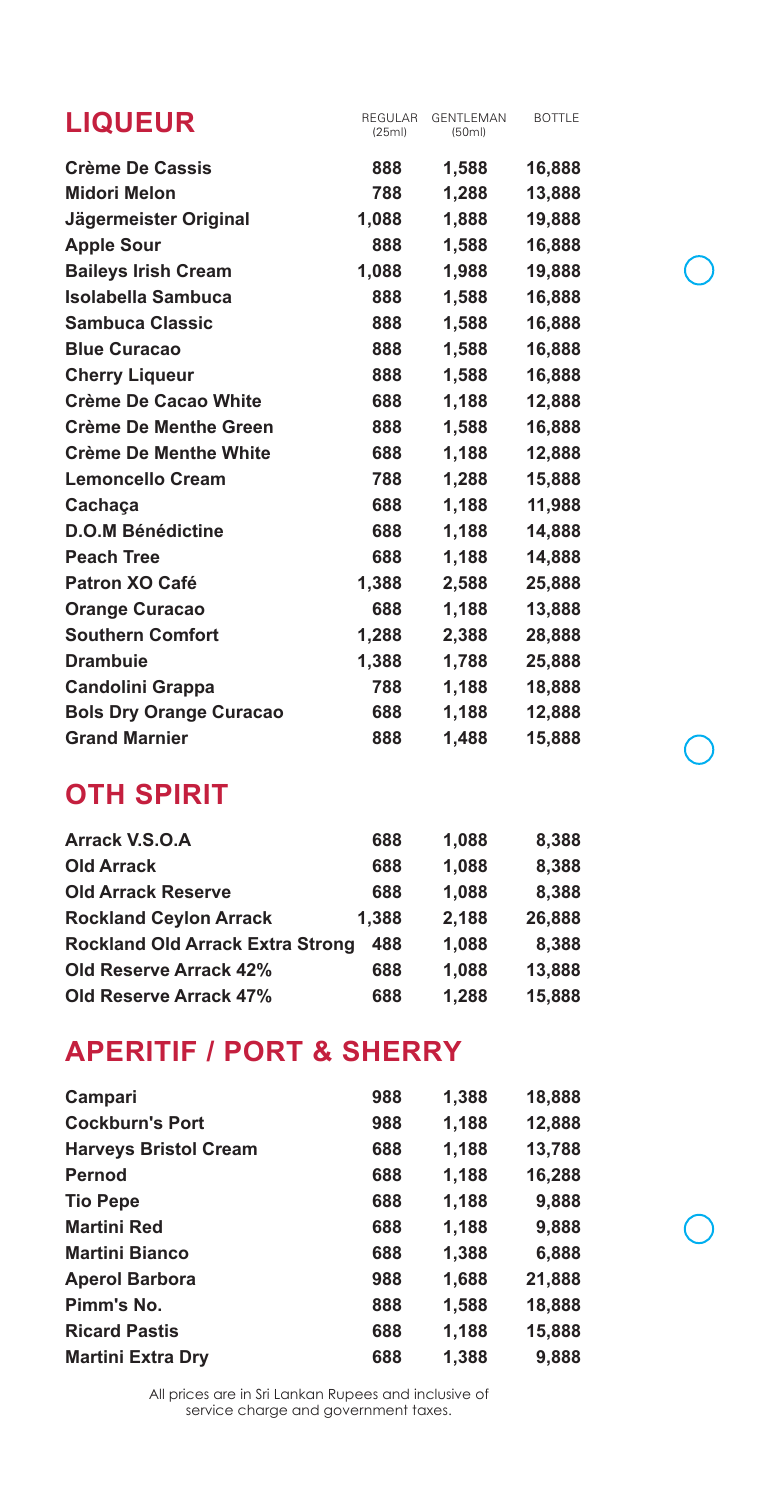| <b>LIQUEUR</b>                 | REGULAR<br>(25ml) | GENTLEMAN<br>(50ml) | <b>BOTTLE</b> |
|--------------------------------|-------------------|---------------------|---------------|
| <b>Crème De Cassis</b>         | 888               | 1,588               | 16,888        |
| <b>Midori Melon</b>            | 788               | 1,288               | 13,888        |
| Jägermeister Original          | 1,088             | 1.888               | 19,888        |
| <b>Apple Sour</b>              | 888               | 1,588               | 16,888        |
| <b>Baileys Irish Cream</b>     | 1,088             | 1,988               | 19,888        |
| Isolabella Sambuca             | 888               | 1.588               | 16,888        |
| <b>Sambuca Classic</b>         | 888               | 1,588               | 16,888        |
| <b>Blue Curacao</b>            | 888               | 1,588               | 16,888        |
| <b>Cherry Liqueur</b>          | 888               | 1,588               | 16,888        |
| Crème De Cacao White           | 688               | 1.188               | 12,888        |
| <b>Crème De Menthe Green</b>   | 888               | 1,588               | 16,888        |
| <b>Crème De Menthe White</b>   | 688               | 1,188               | 12,888        |
| <b>Lemoncello Cream</b>        | 788               | 1,288               | 15,888        |
| Cachaça                        | 688               | 1,188               | 11,988        |
| <b>D.O.M Bénédictine</b>       | 688               | 1,188               | 14,888        |
| <b>Peach Tree</b>              | 688               | 1,188               | 14,888        |
| Patron XO Café                 | 1,388             | 2,588               | 25,888        |
| <b>Orange Curacao</b>          | 688               | 1,188               | 13,888        |
| <b>Southern Comfort</b>        | 1,288             | 2,388               | 28,888        |
| <b>Drambuie</b>                | 1,388             | 1,788               | 25,888        |
| <b>Candolini Grappa</b>        | 788               | 1,188               | 18,888        |
| <b>Bols Dry Orange Curacao</b> | 688               | 1,188               | 12,888        |
| <b>Grand Marnier</b>           | 888               | 1,488               | 15,888        |

### **OTH SPIRIT**

| Arrack V.S.O.A                          | 688   | 1,088 | 8,388  |
|-----------------------------------------|-------|-------|--------|
| <b>Old Arrack</b>                       | 688   | 1,088 | 8,388  |
| <b>Old Arrack Reserve</b>               | 688   | 1,088 | 8,388  |
| <b>Rockland Ceylon Arrack</b>           | 1,388 | 2,188 | 26,888 |
| <b>Rockland Old Arrack Extra Strong</b> | 488   | 1,088 | 8,388  |
| <b>Old Reserve Arrack 42%</b>           | 688   | 1,088 | 13,888 |
| <b>Old Reserve Arrack 47%</b>           | 688   | 1.288 | 15,888 |

### **APERITIF / PORT & SHERRY**

| Campari                      | 988 | 1,388 | 18,888 |
|------------------------------|-----|-------|--------|
| <b>Cockburn's Port</b>       | 988 | 1,188 | 12,888 |
| <b>Harveys Bristol Cream</b> | 688 | 1,188 | 13,788 |
| Pernod                       | 688 | 1,188 | 16,288 |
| <b>Tio Pepe</b>              | 688 | 1,188 | 9,888  |
| <b>Martini Red</b>           | 688 | 1,188 | 9,888  |
| <b>Martini Bianco</b>        | 688 | 1,388 | 6,888  |
| <b>Aperol Barbora</b>        | 988 | 1,688 | 21,888 |
| Pimm's No.                   | 888 | 1,588 | 18,888 |
| <b>Ricard Pastis</b>         | 688 | 1.188 | 15,888 |
| <b>Martini Extra Dry</b>     | 688 | 1,388 | 9.888  |

All prices are in Sri Lankan Rupees and inclusive of service charge and government taxes.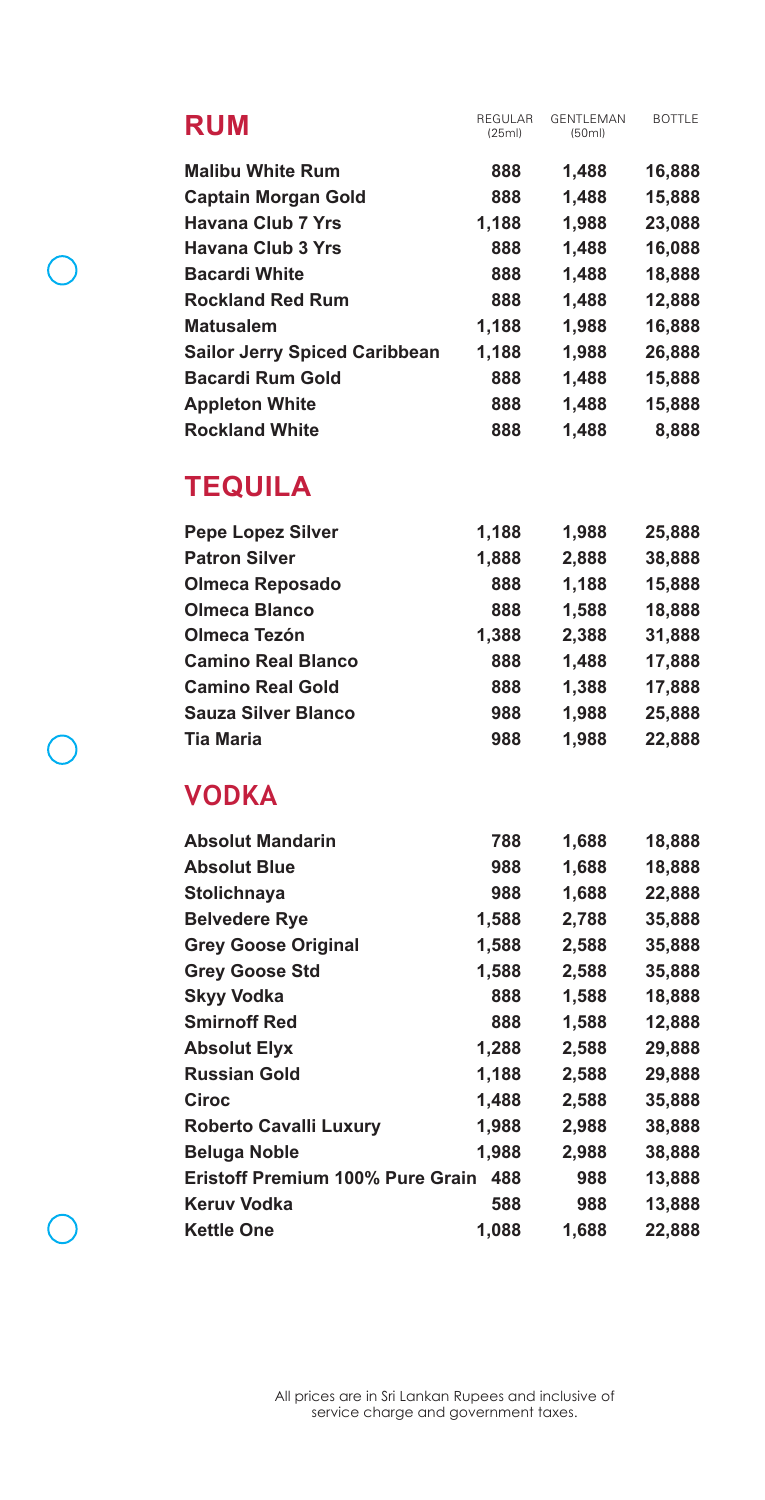| <b>RUM</b>                           | REGULAR<br>(25ml) | <b>GENTI EMAN</b><br>(50ml) | <b>BOTTLE</b> |
|--------------------------------------|-------------------|-----------------------------|---------------|
| <b>Malibu White Rum</b>              | 888               | 1,488                       | 16,888        |
| <b>Captain Morgan Gold</b>           | 888               | 1.488                       | 15,888        |
| Havana Club 7 Yrs                    | 1,188             | 1,988                       | 23,088        |
| Havana Club 3 Yrs                    | 888               | 1,488                       | 16,088        |
| <b>Bacardi White</b>                 | 888               | 1,488                       | 18,888        |
| <b>Rockland Red Rum</b>              | 888               | 1,488                       | 12,888        |
| <b>Matusalem</b>                     | 1.188             | 1,988                       | 16.888        |
| <b>Sailor Jerry Spiced Caribbean</b> | 1,188             | 1,988                       | 26,888        |
| <b>Bacardi Rum Gold</b>              | 888               | 1.488                       | 15,888        |
| <b>Appleton White</b>                | 888               | 1.488                       | 15.888        |
| <b>Rockland White</b>                | 888               | 1.488                       | 8.888         |

## **TEQUILA**

 $\sqrt{2}$ 

 $\subset$ 

| <b>Pepe Lopez Silver</b>  | 1,188 | 1,988 | 25,888 |
|---------------------------|-------|-------|--------|
| <b>Patron Silver</b>      | 1,888 | 2,888 | 38,888 |
| <b>Olmeca Reposado</b>    | 888   | 1,188 | 15,888 |
| <b>Olmeca Blanco</b>      | 888   | 1,588 | 18,888 |
| Olmeca Tezón              | 1,388 | 2,388 | 31,888 |
| <b>Camino Real Blanco</b> | 888   | 1,488 | 17,888 |
| <b>Camino Real Gold</b>   | 888   | 1,388 | 17,888 |
| Sauza Silver Blanco       | 988   | 1,988 | 25,888 |
| <b>Tia Maria</b>          | 988   | 1.988 | 22,888 |

### **VODKA**

| <b>Absolut Mandarin</b>                 | 788   | 1,688 | 18,888 |
|-----------------------------------------|-------|-------|--------|
| <b>Absolut Blue</b>                     | 988   | 1,688 | 18,888 |
| <b>Stolichnaya</b>                      | 988   | 1,688 | 22,888 |
| <b>Belvedere Rye</b>                    | 1,588 | 2,788 | 35,888 |
| <b>Grey Goose Original</b>              | 1,588 | 2,588 | 35,888 |
| <b>Grey Goose Std</b>                   | 1,588 | 2,588 | 35,888 |
| <b>Skyy Vodka</b>                       | 888   | 1,588 | 18,888 |
| <b>Smirnoff Red</b>                     | 888   | 1,588 | 12,888 |
| <b>Absolut Elyx</b>                     | 1,288 | 2,588 | 29,888 |
| <b>Russian Gold</b>                     | 1,188 | 2,588 | 29,888 |
| Ciroc                                   | 1,488 | 2,588 | 35,888 |
| <b>Roberto Cavalli Luxury</b>           | 1,988 | 2,988 | 38,888 |
| <b>Beluga Noble</b>                     | 1,988 | 2,988 | 38,888 |
| <b>Eristoff Premium 100% Pure Grain</b> | 488   | 988   | 13,888 |
| Keruv Vodka                             | 588   | 988   | 13,888 |
| <b>Kettle One</b>                       | 1,088 | 1,688 | 22,888 |
|                                         |       |       |        |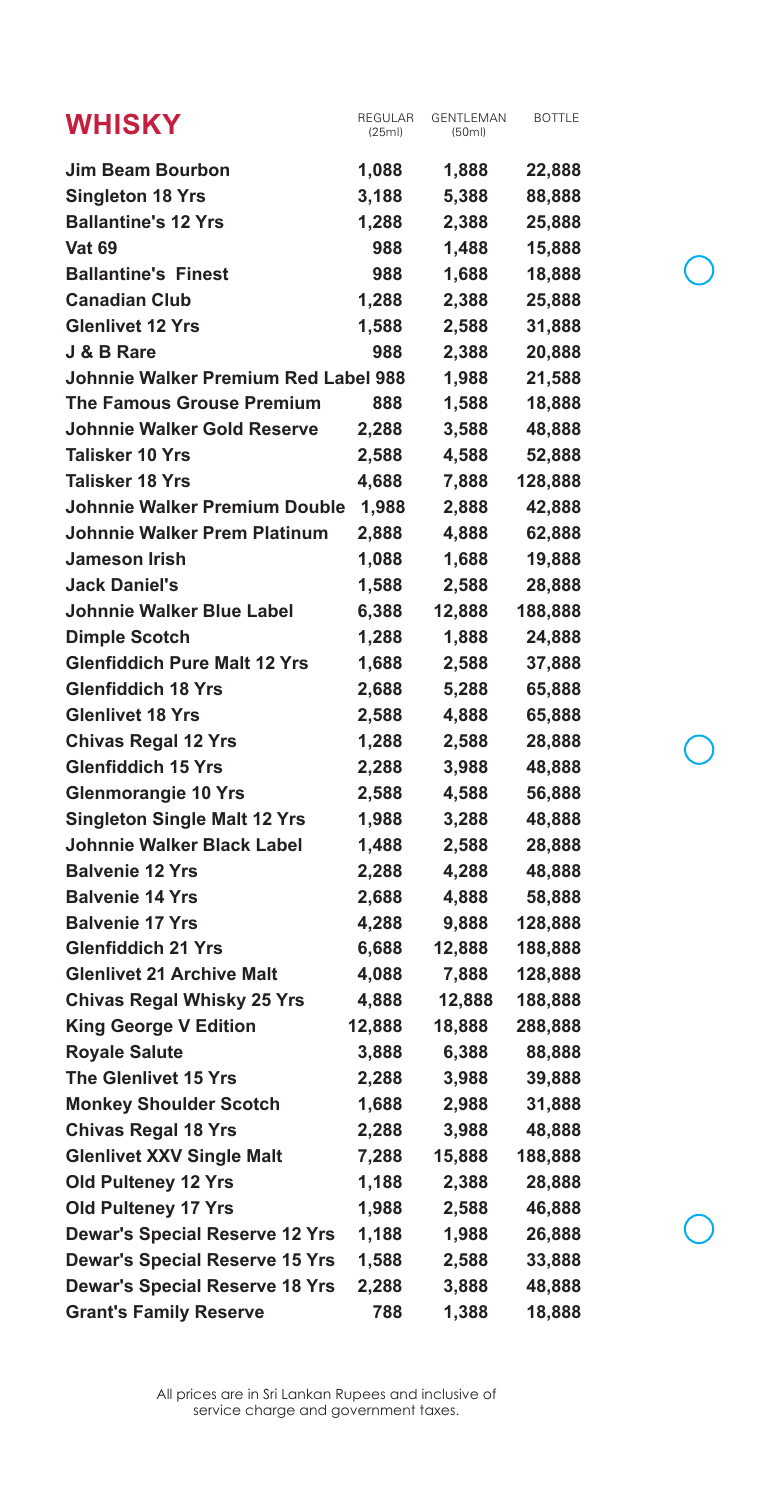| <b>WHISKY</b>                         | REGULAR<br>(25ml) | <b>GENTLEMAN</b><br>(50ml) | <b>BOTTLE</b> |
|---------------------------------------|-------------------|----------------------------|---------------|
| <b>Jim Beam Bourbon</b>               | 1,088             | 1,888                      | 22,888        |
| <b>Singleton 18 Yrs</b>               | 3,188             | 5,388                      | 88,888        |
| <b>Ballantine's 12 Yrs</b>            | 1,288             | 2,388                      | 25,888        |
| <b>Vat 69</b>                         | 988               | 1,488                      | 15,888        |
| <b>Ballantine's Finest</b>            | 988               | 1,688                      | 18,888        |
| <b>Canadian Club</b>                  | 1,288             | 2,388                      | 25,888        |
| <b>Glenlivet 12 Yrs</b>               | 1,588             | 2,588                      | 31,888        |
| J & B Rare                            | 988               | 2,388                      | 20,888        |
| Johnnie Walker Premium Red Label 988  |                   | 1,988                      | 21,588        |
| <b>The Famous Grouse Premium</b>      | 888               | 1,588                      | 18,888        |
| <b>Johnnie Walker Gold Reserve</b>    | 2,288             | 3,588                      | 48,888        |
| <b>Talisker 10 Yrs</b>                | 2,588             | 4,588                      | 52,888        |
| Talisker 18 Yrs                       | 4,688             | 7,888                      | 128,888       |
| Johnnie Walker Premium Double         | 1,988             | 2,888                      | 42,888        |
| <b>Johnnie Walker Prem Platinum</b>   | 2,888             | 4,888                      | 62,888        |
| <b>Jameson Irish</b>                  | 1,088             | 1,688                      | 19,888        |
| <b>Jack Daniel's</b>                  | 1,588             | 2,588                      | 28,888        |
| Johnnie Walker Blue Label             | 6,388             | 12,888                     | 188,888       |
| <b>Dimple Scotch</b>                  | 1,288             | 1,888                      | 24,888        |
| <b>Glenfiddich Pure Malt 12 Yrs</b>   | 1,688             | 2,588                      | 37,888        |
| <b>Glenfiddich 18 Yrs</b>             | 2,688             | 5,288                      | 65,888        |
| <b>Glenlivet 18 Yrs</b>               | 2,588             | 4,888                      | 65,888        |
| <b>Chivas Regal 12 Yrs</b>            | 1,288             | 2,588                      | 28,888        |
| <b>Glenfiddich 15 Yrs</b>             | 2,288             | 3,988                      | 48,888        |
| <b>Glenmorangie 10 Yrs</b>            | 2,588             | 4,588                      | 56,888        |
| <b>Singleton Single Malt 12 Yrs</b>   | 1,988             | 3,288                      | 48,888        |
| <b>Johnnie Walker Black Label</b>     | 1,488             | 2,588                      | 28,888        |
| <b>Balvenie 12 Yrs</b>                | 2,288             | 4,288                      | 48,888        |
| <b>Balvenie 14 Yrs</b>                | 2,688             | 4,888                      | 58,888        |
| <b>Balvenie 17 Yrs</b>                | 4,288             | 9,888                      | 128,888       |
| <b>Glenfiddich 21 Yrs</b>             | 6,688             | 12,888                     | 188,888       |
| <b>Glenlivet 21 Archive Malt</b>      | 4,088             | 7,888                      | 128,888       |
| <b>Chivas Regal Whisky 25 Yrs</b>     | 4,888             | 12,888                     | 188,888       |
| <b>King George V Edition</b>          | 12,888            | 18,888                     | 288,888       |
| <b>Royale Salute</b>                  | 3,888             | 6,388                      | 88,888        |
| <b>The Glenlivet 15 Yrs</b>           | 2,288             | 3,988                      | 39,888        |
| <b>Monkey Shoulder Scotch</b>         | 1,688             | 2,988                      | 31,888        |
| <b>Chivas Regal 18 Yrs</b>            | 2,288             | 3,988                      | 48,888        |
| <b>Glenlivet XXV Single Malt</b>      | 7,288             | 15,888                     | 188,888       |
| Old Pulteney 12 Yrs                   | 1,188             | 2,388                      | 28,888        |
| Old Pulteney 17 Yrs                   | 1,988             | 2,588                      | 46,888        |
| <b>Dewar's Special Reserve 12 Yrs</b> | 1,188             | 1,988                      | 26,888        |
| <b>Dewar's Special Reserve 15 Yrs</b> | 1,588             | 2,588                      | 33,888        |
| <b>Dewar's Special Reserve 18 Yrs</b> | 2,288             | 3,888                      | 48,888        |
| <b>Grant's Family Reserve</b>         | 788               | 1,388                      | 18,888        |

All prices are in Sri Lankan Rupees and inclusive of service charge and government taxes.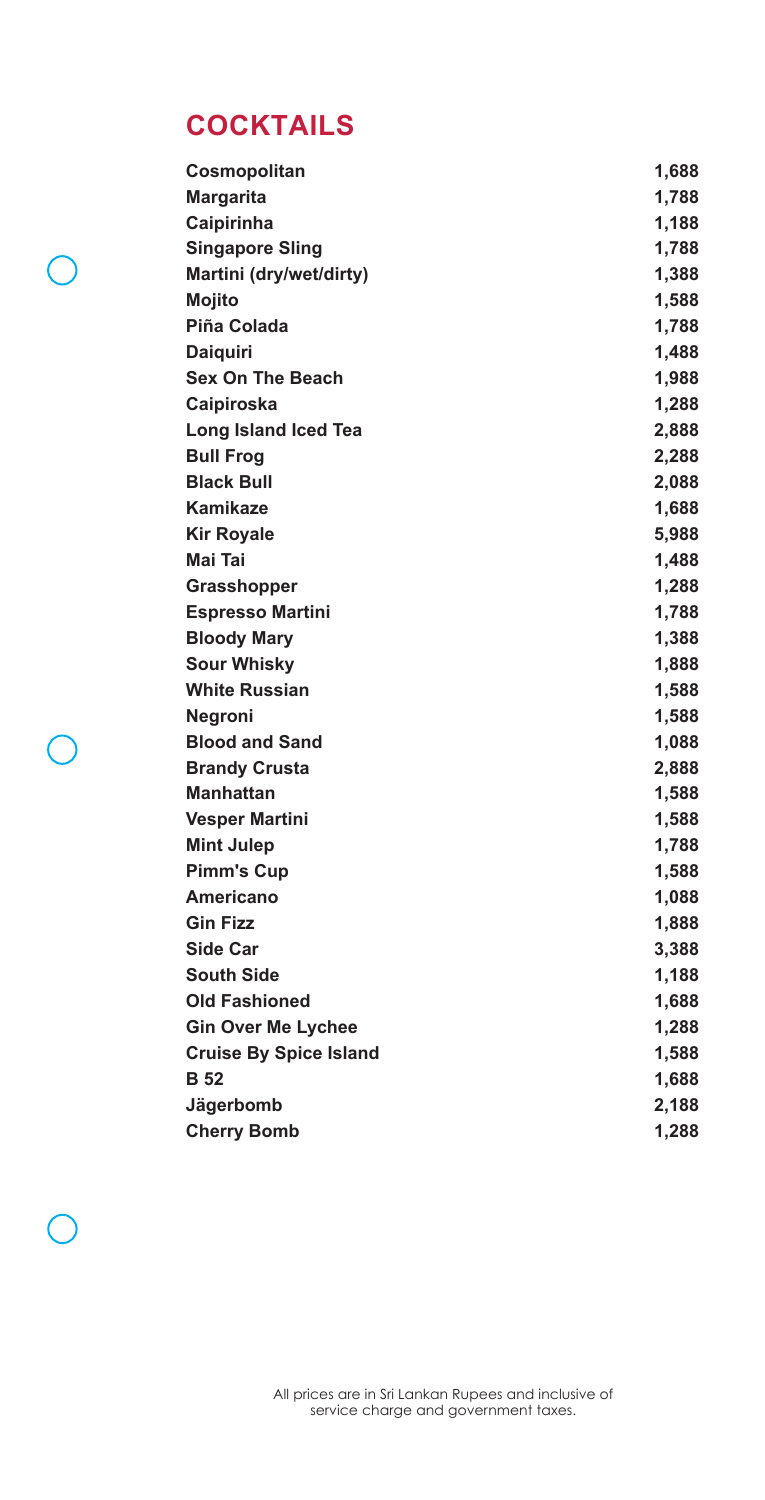# **COCKTAILS**

 $\sqrt{2}$ 

r i

| Cosmopolitan                  | 1,688 |
|-------------------------------|-------|
| <b>Margarita</b>              | 1,788 |
| Caipirinha                    | 1,188 |
| <b>Singapore Sling</b>        | 1,788 |
| Martini (dry/wet/dirty)       | 1,388 |
| <b>Mojito</b>                 | 1,588 |
| Piña Colada                   | 1,788 |
| <b>Daiguiri</b>               | 1,488 |
| <b>Sex On The Beach</b>       | 1,988 |
| Caipiroska                    | 1,288 |
| <b>Long Island Iced Tea</b>   | 2,888 |
| <b>Bull Frog</b>              | 2,288 |
| <b>Black Bull</b>             | 2,088 |
| Kamikaze                      | 1,688 |
| <b>Kir Royale</b>             | 5,988 |
| Mai Tai                       | 1,488 |
| Grasshopper                   | 1,288 |
| <b>Espresso Martini</b>       | 1,788 |
| <b>Bloody Mary</b>            | 1,388 |
| <b>Sour Whisky</b>            | 1,888 |
| <b>White Russian</b>          | 1,588 |
| <b>Negroni</b>                | 1,588 |
| <b>Blood and Sand</b>         | 1,088 |
| <b>Brandy Crusta</b>          | 2,888 |
| <b>Manhattan</b>              | 1,588 |
| <b>Vesper Martini</b>         | 1,588 |
| <b>Mint Julep</b>             | 1,788 |
| <b>Pimm's Cup</b>             | 1,588 |
| <b>Americano</b>              | 1,088 |
| <b>Gin Fizz</b>               | 1,888 |
| Side Car                      | 3,388 |
| <b>South Side</b>             | 1,188 |
| <b>Old Fashioned</b>          | 1,688 |
| <b>Gin Over Me Lychee</b>     | 1,288 |
| <b>Cruise By Spice Island</b> | 1,588 |
| <b>B</b> 52                   | 1,688 |
| Jägerbomb                     | 2,188 |
| <b>Cherry Bomb</b>            | 1,288 |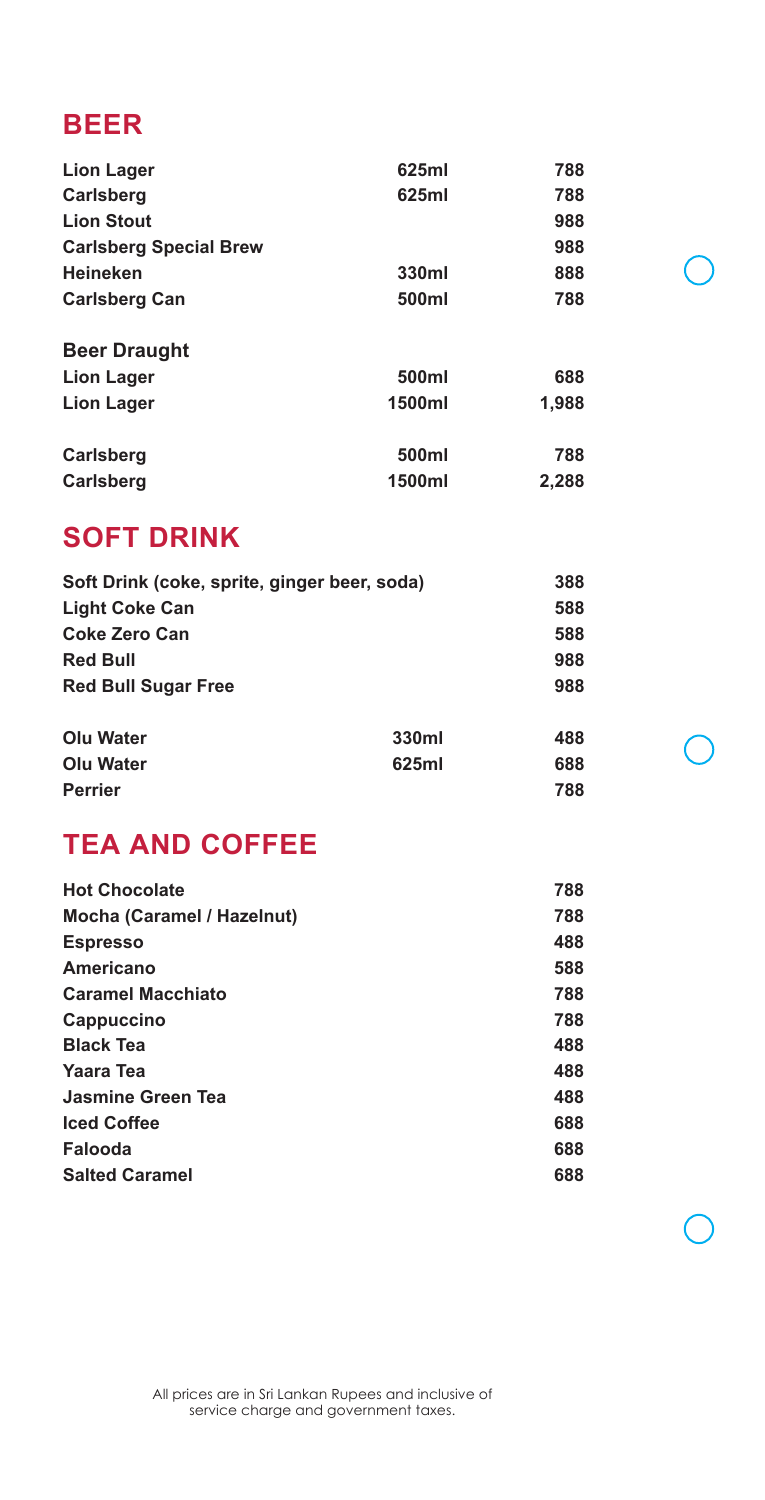### **BEER**

| <b>Lion Lager</b>             | 625ml  | 788   |
|-------------------------------|--------|-------|
| <b>Carlsberg</b>              | 625ml  | 788   |
| <b>Lion Stout</b>             |        | 988   |
| <b>Carlsberg Special Brew</b> |        | 988   |
| <b>Heineken</b>               | 330ml  | 888   |
| <b>Carlsberg Can</b>          | 500ml  | 788   |
| <b>Beer Draught</b>           |        |       |
| Lion Lager                    | 500ml  | 688   |
| <b>Lion Lager</b>             | 1500ml | 1,988 |
| <b>Carlsberg</b>              | 500ml  | 788   |
| <b>Carlsberg</b>              | 1500ml | 2,288 |
|                               |        |       |

### **SOFT DRINK**

| Soft Drink (coke, sprite, ginger beer, soda) |       | 388 |
|----------------------------------------------|-------|-----|
| <b>Light Coke Can</b>                        |       | 588 |
| Coke Zero Can                                |       | 588 |
| <b>Red Bull</b>                              |       | 988 |
| <b>Red Bull Sugar Free</b>                   |       | 988 |
| Olu Water                                    | 330ml | 488 |
| Olu Water                                    | 625ml | 688 |
| <b>Perrier</b>                               |       | 788 |

## **TEA AND COFFEE**

| <b>Hot Chocolate</b>       | 788 |
|----------------------------|-----|
| Mocha (Caramel / Hazelnut) | 788 |
| <b>Espresso</b>            | 488 |
| Americano                  | 588 |
| <b>Caramel Macchiato</b>   | 788 |
| Cappuccino                 | 788 |
| <b>Black Tea</b>           | 488 |
| Yaara Tea                  | 488 |
| Jasmine Green Tea          | 488 |
| <b>Iced Coffee</b>         | 688 |
| Falooda                    | 688 |
| <b>Salted Caramel</b>      | 688 |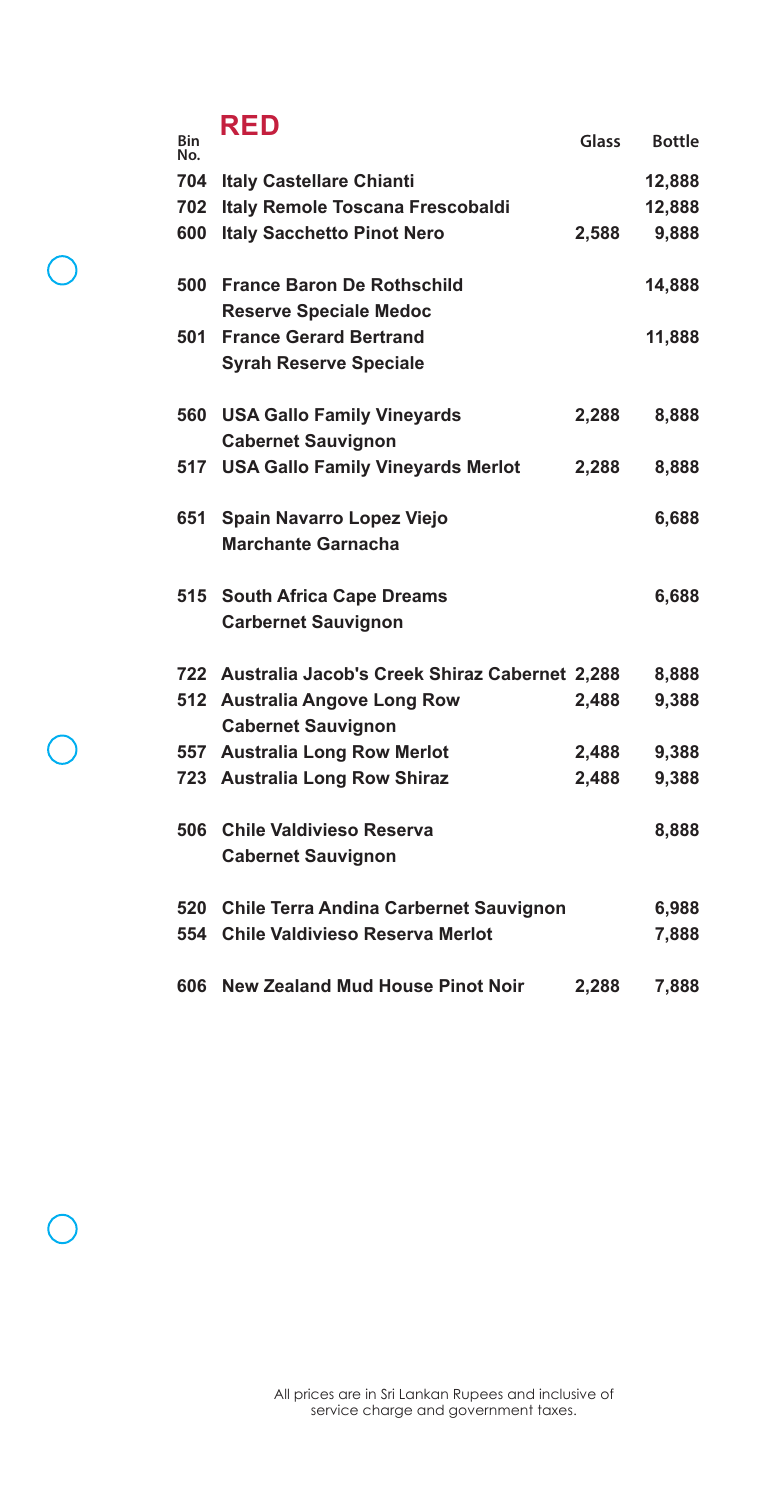## **RED**

| Bin<br>No. |                                                   | Glass | <b>Bottle</b> |
|------------|---------------------------------------------------|-------|---------------|
| 704        | <b>Italy Castellare Chianti</b>                   |       | 12,888        |
| 702        | Italy Remole Toscana Frescobaldi                  |       | 12,888        |
| 600        | <b>Italy Sacchetto Pinot Nero</b>                 | 2,588 | 9,888         |
|            |                                                   |       |               |
| 500        | <b>France Baron De Rothschild</b>                 |       | 14,888        |
|            | <b>Reserve Speciale Medoc</b>                     |       |               |
| 501        | <b>France Gerard Bertrand</b>                     |       | 11,888        |
|            | <b>Syrah Reserve Speciale</b>                     |       |               |
| 560        | <b>USA Gallo Family Vineyards</b>                 | 2,288 | 8,888         |
|            | <b>Cabernet Sauvignon</b>                         |       |               |
| 517        | <b>USA Gallo Family Vineyards Merlot</b>          | 2,288 | 8,888         |
|            |                                                   |       |               |
| 651        | Spain Navarro Lopez Viejo                         |       | 6,688         |
|            | <b>Marchante Garnacha</b>                         |       |               |
|            |                                                   |       |               |
| 515        | <b>South Africa Cape Dreams</b>                   |       | 6,688         |
|            | <b>Carbernet Sauvignon</b>                        |       |               |
|            |                                                   |       |               |
|            | 722 Australia Jacob's Creek Shiraz Cabernet 2,288 |       | 8,888         |
|            | 512 Australia Angove Long Row                     | 2,488 | 9,388         |
|            | <b>Cabernet Sauvignon</b>                         |       |               |
|            | 557 Australia Long Row Merlot                     | 2,488 | 9,388         |
|            | 723 Australia Long Row Shiraz                     | 2,488 | 9,388         |
| 506        | <b>Chile Valdivieso Reserva</b>                   |       | 8,888         |
|            | <b>Cabernet Sauvignon</b>                         |       |               |
|            |                                                   |       |               |
| 520        | <b>Chile Terra Andina Carbernet Sauvignon</b>     |       | 6,988         |
| 554        | Chile Valdivieso Reserva Merlot                   |       | 7,888         |
|            |                                                   |       |               |
| 606        | <b>New Zealand Mud House Pinot Noir</b>           | 2,288 | 7,888         |